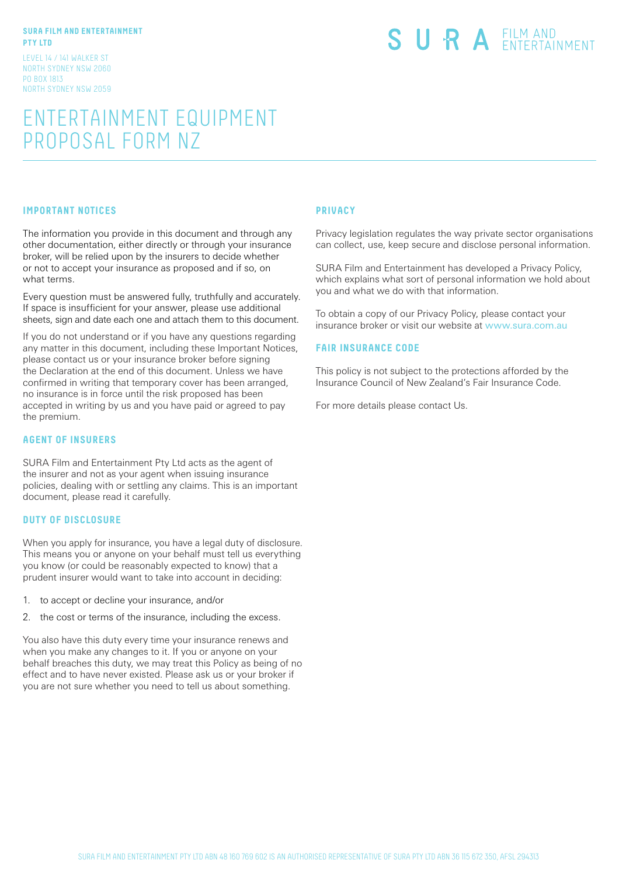#### **SURA FILM AND ENTERTAINMENT PTY LTD**

LEVEL 14 / 141 WALKER ST NORTH SYDNEY NSW 2060 PO BOX 1813 NORTH SYDNEY NSW 2059

# SURA EILM AND

# ENTERTAINMENT EQUIPMENT PROPOSAL FORM NZ

#### **IMPORTANT NOTICES**

The information you provide in this document and through any other documentation, either directly or through your insurance broker, will be relied upon by the insurers to decide whether or not to accept your insurance as proposed and if so, on what terms.

Every question must be answered fully, truthfully and accurately. If space is insufficient for your answer, please use additional sheets, sign and date each one and attach them to this document.

If you do not understand or if you have any questions regarding any matter in this document, including these Important Notices, please contact us or your insurance broker before signing the Declaration at the end of this document. Unless we have confirmed in writing that temporary cover has been arranged, no insurance is in force until the risk proposed has been accepted in writing by us and you have paid or agreed to pay the premium.

## **AGENT OF INSURERS**

SURA Film and Entertainment Pty Ltd acts as the agent of the insurer and not as your agent when issuing insurance policies, dealing with or settling any claims. This is an important document, please read it carefully.

#### **DUTY OF DISCLOSURE**

When you apply for insurance, you have a legal duty of disclosure. This means you or anyone on your behalf must tell us everything you know (or could be reasonably expected to know) that a prudent insurer would want to take into account in deciding:

- 1. to accept or decline your insurance, and/or
- 2. the cost or terms of the insurance, including the excess.

You also have this duty every time your insurance renews and when you make any changes to it. If you or anyone on your behalf breaches this duty, we may treat this Policy as being of no effect and to have never existed. Please ask us or your broker if you are not sure whether you need to tell us about something.

## **PRIVACY**

Privacy legislation regulates the way private sector organisations can collect, use, keep secure and disclose personal information.

SURA Film and Entertainment has developed a Privacy Policy, which explains what sort of personal information we hold about you and what we do with that information.

To obtain a copy of our Privacy Policy, please contact your insurance broker or visit our website at www.sura.com.au

#### **FAIR INSURANCE CODE**

This policy is not subject to the protections afforded by the Insurance Council of New Zealand's Fair Insurance Code.

For more details please contact Us.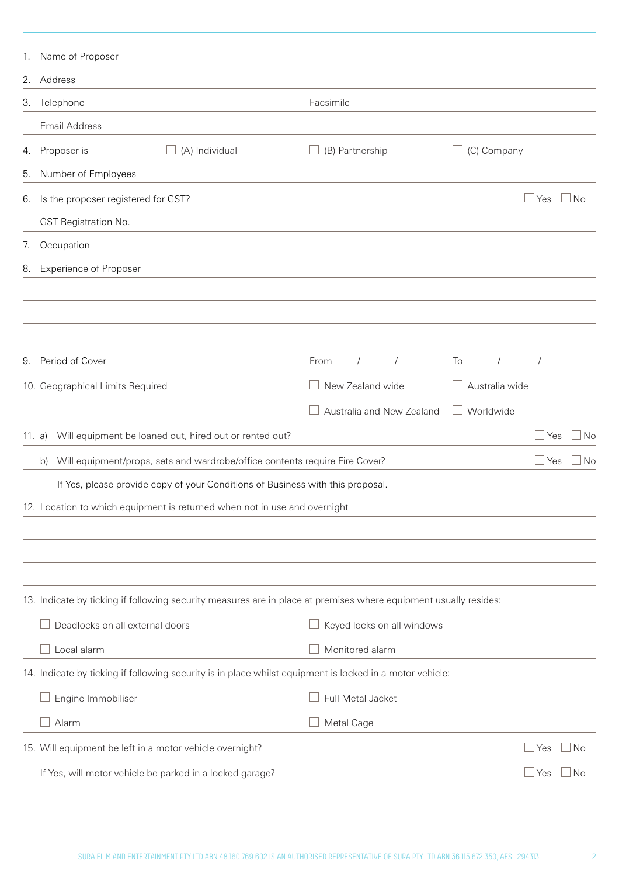| 1.     | Name of Proposer                                                                                                 |                            |                  |              |           |
|--------|------------------------------------------------------------------------------------------------------------------|----------------------------|------------------|--------------|-----------|
| 2.     | Address                                                                                                          |                            |                  |              |           |
| 3.     | Telephone                                                                                                        | Facsimile                  |                  |              |           |
|        | <b>Email Address</b>                                                                                             |                            |                  |              |           |
| 4.     | (A) Individual<br>Proposer is<br>ш                                                                               | (B) Partnership            | (C) Company      |              |           |
| 5.     | Number of Employees                                                                                              |                            |                  |              |           |
| 6.     | Is the proposer registered for GST?                                                                              |                            |                  | l Yes        | <b>No</b> |
|        | GST Registration No.                                                                                             |                            |                  |              |           |
| 7.     | Occupation                                                                                                       |                            |                  |              |           |
| 8.     | <b>Experience of Proposer</b>                                                                                    |                            |                  |              |           |
|        |                                                                                                                  |                            |                  |              |           |
|        |                                                                                                                  |                            |                  |              |           |
|        |                                                                                                                  |                            |                  |              |           |
| 9.     | Period of Cover                                                                                                  | From<br>$\sqrt{2}$         | To<br>$\sqrt{2}$ |              |           |
|        | 10. Geographical Limits Required                                                                                 | New Zealand wide           | Australia wide   |              |           |
|        |                                                                                                                  | Australia and New Zealand  | Worldwide        |              |           |
| 11. a) | Will equipment be loaned out, hired out or rented out?                                                           |                            |                  | $\Box$ Yes   | No        |
|        | Will equipment/props, sets and wardrobe/office contents require Fire Cover?<br>b)                                |                            |                  | $\Box$ Yes   | No        |
|        | If Yes, please provide copy of your Conditions of Business with this proposal.                                   |                            |                  |              |           |
|        | 12. Location to which equipment is returned when not in use and overnight                                        |                            |                  |              |           |
|        |                                                                                                                  |                            |                  |              |           |
|        |                                                                                                                  |                            |                  |              |           |
|        |                                                                                                                  |                            |                  |              |           |
|        | 13. Indicate by ticking if following security measures are in place at premises where equipment usually resides: |                            |                  |              |           |
|        | Deadlocks on all external doors                                                                                  | Keyed locks on all windows |                  |              |           |
|        | Local alarm                                                                                                      | Monitored alarm            |                  |              |           |
|        | 14. Indicate by ticking if following security is in place whilst equipment is locked in a motor vehicle:         |                            |                  |              |           |
|        | Engine Immobiliser                                                                                               | Full Metal Jacket          |                  |              |           |
|        | Alarm                                                                                                            | Metal Cage                 |                  |              |           |
|        | 15. Will equipment be left in a motor vehicle overnight?                                                         |                            |                  | Yes          | ⊥No       |
|        | If Yes, will motor vehicle be parked in a locked garage?                                                         |                            |                  | <u> </u> Yes | ⊿No       |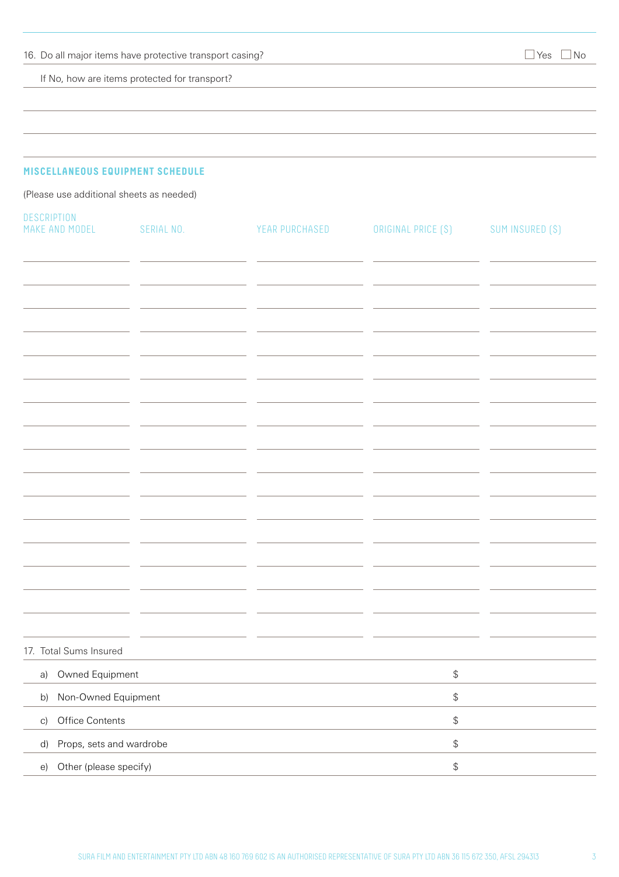If No, how are items protected for transport?

# **MISCELLANEOUS EQUIPMENT SCHEDULE**

(Please use additional sheets as needed)

| DESCRIPTION<br>MAKE AND MODEL  | SERIAL NO. | YEAR PURCHASED | ORIGINAL PRICE (\$)                               | SUM INSURED (\$) |
|--------------------------------|------------|----------------|---------------------------------------------------|------------------|
|                                |            |                |                                                   |                  |
|                                |            |                |                                                   |                  |
|                                |            |                |                                                   |                  |
|                                |            |                |                                                   |                  |
|                                |            |                |                                                   |                  |
|                                |            |                |                                                   |                  |
|                                |            |                |                                                   |                  |
|                                |            |                |                                                   |                  |
|                                |            |                |                                                   |                  |
|                                |            |                |                                                   |                  |
|                                |            |                |                                                   |                  |
|                                |            |                |                                                   |                  |
|                                |            |                |                                                   |                  |
|                                |            |                |                                                   |                  |
|                                |            |                |                                                   |                  |
|                                |            |                |                                                   |                  |
|                                |            |                |                                                   |                  |
| 17. Total Sums Insured         |            |                |                                                   |                  |
| a) Owned Equipment             |            |                | $\, \, \raisebox{12pt}{$\scriptstyle \circ$}$     |                  |
| Non-Owned Equipment<br>b)      |            |                | $\, \, \raisebox{12pt}{$\scriptstyle \circ$}$     |                  |
| Office Contents<br>C)          |            |                | $\, \, \raisebox{-1.5pt}{\text{\circle*{1.5}}}\,$ |                  |
| Props, sets and wardrobe<br>d) |            |                | $\, \, \raisebox{12pt}{$\scriptstyle \circ$}$     |                  |
| Other (please specify)<br>e)   |            |                | $\, \, \raisebox{-1.5pt}{\text{\circle*{1.5}}}\,$ |                  |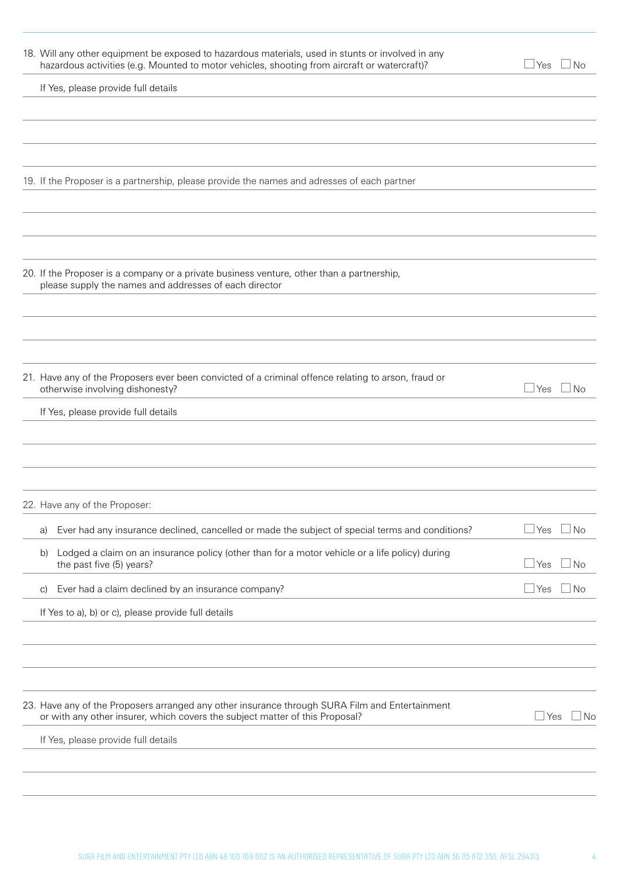| 18. Will any other equipment be exposed to hazardous materials, used in stunts or involved in any<br>hazardous activities (e.g. Mounted to motor vehicles, shooting from aircraft or watercraft)? | $\Box$ No<br>l Yes   |
|---------------------------------------------------------------------------------------------------------------------------------------------------------------------------------------------------|----------------------|
| If Yes, please provide full details                                                                                                                                                               |                      |
|                                                                                                                                                                                                   |                      |
|                                                                                                                                                                                                   |                      |
| 19. If the Proposer is a partnership, please provide the names and adresses of each partner                                                                                                       |                      |
|                                                                                                                                                                                                   |                      |
|                                                                                                                                                                                                   |                      |
| 20. If the Proposer is a company or a private business venture, other than a partnership,<br>please supply the names and addresses of each director                                               |                      |
|                                                                                                                                                                                                   |                      |
|                                                                                                                                                                                                   |                      |
| 21. Have any of the Proposers ever been convicted of a criminal offence relating to arson, fraud or<br>otherwise involving dishonesty?                                                            | $\Box$ Yes $\Box$ No |
| If Yes, please provide full details                                                                                                                                                               |                      |
|                                                                                                                                                                                                   |                      |
|                                                                                                                                                                                                   |                      |
| 22. Have any of the Proposer:                                                                                                                                                                     |                      |
| Ever had any insurance declined, cancelled or made the subject of special terms and conditions?<br>a)                                                                                             | Yes<br>⊥No           |
| Lodged a claim on an insurance policy (other than for a motor vehicle or a life policy) during<br>b)<br>the past five (5) years?                                                                  | $\exists$ No<br>Yes  |
| Ever had a claim declined by an insurance company?<br>C)                                                                                                                                          | ⊿ No<br>Yes          |
| If Yes to a), b) or c), please provide full details                                                                                                                                               |                      |
|                                                                                                                                                                                                   |                      |
|                                                                                                                                                                                                   |                      |
| 23. Have any of the Proposers arranged any other insurance through SURA Film and Entertainment<br>or with any other insurer, which covers the subject matter of this Proposal?                    | $\Box$ Yes<br>⊿ No   |
| If Yes, please provide full details                                                                                                                                                               |                      |
|                                                                                                                                                                                                   |                      |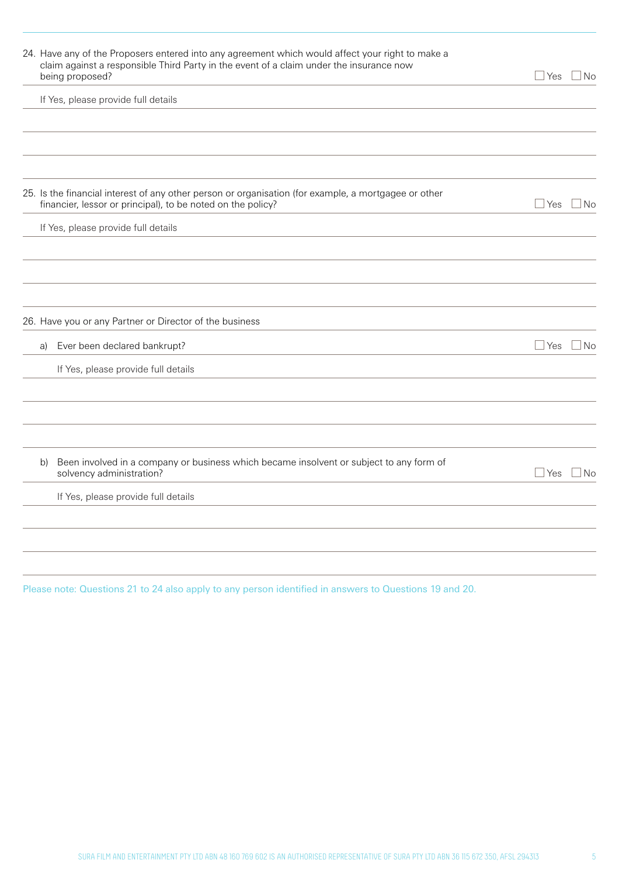| 24. Have any of the Proposers entered into any agreement which would affect your right to make a<br>claim against a responsible Third Party in the event of a claim under the insurance now<br>being proposed? | J Yes∶     | ⊿ No                     |
|----------------------------------------------------------------------------------------------------------------------------------------------------------------------------------------------------------------|------------|--------------------------|
| If Yes, please provide full details                                                                                                                                                                            |            |                          |
|                                                                                                                                                                                                                |            |                          |
| 25. Is the financial interest of any other person or organisation (for example, a mortgagee or other<br>financier, lessor or principal), to be noted on the policy?                                            | $\Box$ Yes | $\Box$ No                |
| If Yes, please provide full details                                                                                                                                                                            |            |                          |
|                                                                                                                                                                                                                |            |                          |
| 26. Have you or any Partner or Director of the business                                                                                                                                                        |            |                          |
| Ever been declared bankrupt?<br>a)                                                                                                                                                                             | $\Box$ Yes | $\overline{\textsf{No}}$ |
| If Yes, please provide full details                                                                                                                                                                            |            |                          |
|                                                                                                                                                                                                                |            |                          |
| Been involved in a company or business which became insolvent or subject to any form of<br>b)<br>solvency administration?                                                                                      | $\Box$ Yes | $\Box$ No                |
| If Yes, please provide full details                                                                                                                                                                            |            |                          |
|                                                                                                                                                                                                                |            |                          |
|                                                                                                                                                                                                                |            |                          |

Please note: Questions 21 to 24 also apply to any person identified in answers to Questions 19 and 20.